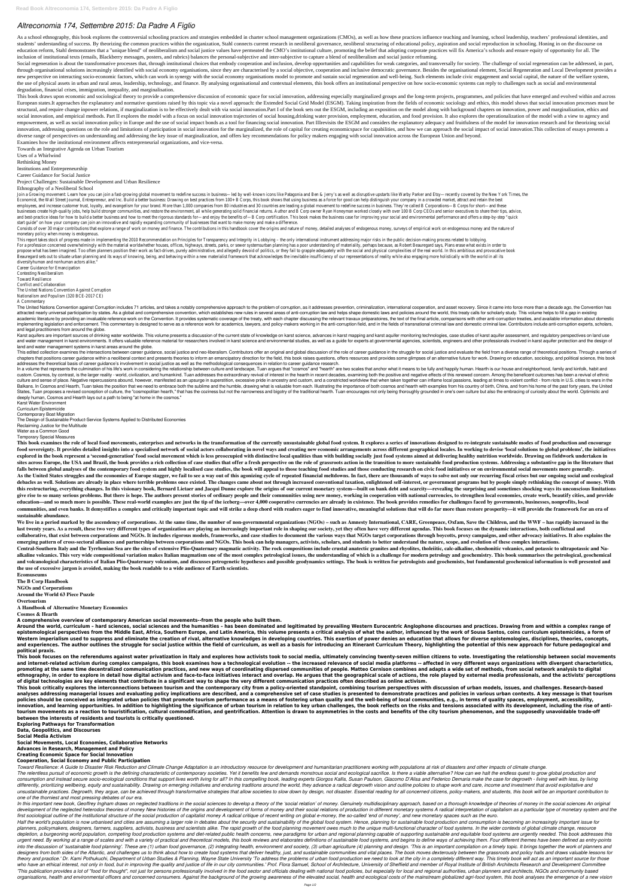## *Altreconomia 174, Settembre 2015: Da Padre A Figlio*

As a school ethnography, this book explores the controversial schooling practices and strategies embedded in charter school management organizations (CMOs), as well as how these practices influence teaching and learning, s students' understanding of success. By theorizing the common practices within the organization, Stahl connects current research in neoliberal governance, neoliberal structuring of educational policy, aspiration and social education reform, Stahl demonstrates that a "unique blend" of neoliberalism and social justice values have permeated the CMO's institutional culture, promoting the belief that adopting corporate practices will fix America' inclusion of institutional texts (emails, Blackberry messages, posters, and rubrics) balances the personal-subjective and inter-subjective to capture a blend of neoliberalism and social justice reframing.

Social regeneration is about the transformative processes that, through institutional choices that embody cooperation and inclusion, develop opportunities and capabilities for weak categories, and transversally for society through organisational solutions increasingly identified with social economy organisations, since they are characterised by a social objective, cooperation and inclusive democratic governance. Besides the organisational el new perspective on interacting socio-economic factors, which can work in synergy with the social economy organisations model to promote and sustain social regeneration and well-being. Such elements include civic engagement the use of physical assets in urban and rural areas, leadership, technology, and finance. By analysing organisational and contextual elements, this book offers an institutional perspective on how socio-economic systems can degradation, financial crises, immigration, inequality, and marginalisation.

This book draws upon economic and sociological theory to provide a comprehensive discussion of economic space for social innovation, addressing especially marginalized groups and the long-term projects, programmes, and pol European states.It approaches the explanatory and normative questions raised by this topic via a novel approach: the Extended Social Grid Model (ESGM). Taking inspiration from the fields of economic sociology and ethics, t structural, and require change inpower relations, if marginalization is to be effectively dealt with via social innovation.Part I of the book sets out the ESGM, including an exposition on the model along with background ch social innovation, and empirical methods. Part II explores the model with a focus on social innovation trajectories of social housing, drinking water provision, employment, education, and food provision. It also explores t empowerment, as well as social innovation policy in Europe and the use of social impact bonds as a tool for financing social innovation. Part IIIrevisits the ESGM and considers the explanatory adequacy and fruitfulness of innovation, addressing questions on the role and limitations of participation in social innovation for the marginalized, the role of capital for creating economicspace for capabilities, and how we can approach the social i diverse range of perspectives on understanding and addressing the key issue of marginalization, and offers key recommendations for policy makers engaging with social innovation across the European Union and beyond.

Join a Growing movement: Learn how you can join a fast-growing global movement to redefine success in business—led by well-known icons like Patagonia and Ben & Jerry's as well as disruptive upstarts like Warby Parker and E Economist, the Wall Street Journal, Entrepreneur, and Inc. Build a better business: Drawing on best practices from 100+ B Corps, this book shows that using business as a force for good can help distinguish your company in employees, and increase customer trust, loyalty, and evangelism for your brand. More than 1,000 companies from 80 industries and 30 countries are leading a global movement to redefine success in business. They're called B businesses create high-quality jobs, help build stronger communities, and restore the environment, all while generating solid financial returns. Author and B Corp owner Ryan Honeyman worked closely with over 100 B Corp CEO and best-practice ideas for how to build a better business and how to meet the rigorous standards for—and enjoy the benefits of—B Corp certification. This book makes the business case for improving your social and environm start guide" on how your company can join an innovative and rapidly expanding community of businesses that want to make money and make a difference.

Consists of over 30 major contributions that explore a range of work on money and finance. The contributions in this handbook cover the origins and nature of money, detailed analyses of endogenous money, surveys of empiric monetary policy when money is endogenous.

This report takes stock of progress made in implementing the 2010 Recommendation on Principles for Transparency and Integrity in Lobbying - the only international instrument addressing major risks in the public decision-ma For a profession concerned overwhelmingly with the material worldwhether houses, offices, highways, streets, parks, or sewer systemsurban planning has a poor understanding of materiality, perhaps because, as Robert Beaureg propose what has been imagined. Too often planners position their work as fact-driven, purely administrative, and allegedly devoid of politics, or they fail to grapple adequately with the social and physical complexities o Beauregard sets out to situate urban planning and its ways of knowing, being, and behaving within a new materialist framework that acknowledges the inevitable insufficiency of our representations of reality while also enga diversityhuman and nonhuman actors alike."

Examines how the institutional environment affects entrepreneurial organizations, and vice-versa.

Towards an Integrative Agenda on Urban Tourism

Uses of a Whirlwind

Rethinking Money

Institutions and Entrepreneurship

Career Guidance for Social Justice

The United Nations Convention against Corruption includes 71 articles, and takes a notably comprehensive approach to the problem of corruption, as it addresses prevention, international cooperation, and asset recovery. Sin attracted nearly universal participation by states. As a global and comprehensive convention, which establishes new rules in several areas of anti-corruption law and helps shape domestic laws and policies around the world, academic literature by providing an invaluable reference work on the Convention. It provides systematic coverage of the treaty, with each chapter discussing the relevant travaux préparatoires, the text of the final article implementing legislation and enforcement. This commentary is designed to serve as a reference work for academics, lawyers, and policy-makers working in the anti-corruption field, and in the fields of transnational criminal and legal practitioners from around the globe.

Karst aquifers are important sources of drinking water worldwide. This volume presents a discussion of the current state of knowledge on karst science, advances in karst aquifer monitoring technologies, case studies of kar

Project Challenges: Sustainable Development and Urban Resilience

## Ethnography of a Neoliberal School

and water management in karst environments. It offers valuable reference material for researchers involved in karst science and environmental studies, as well as a guide for experts at governmental agencies, scientists, en land and water management systems in karst areas around the globe.

This edited collection examines the intersections between career guidance, social justice and neo-liberalism. Contributors offer an original and global discussion of the role of career guidance in the struggle for social j chapters that positions career guidance within a neoliberal context and presents theories to inform an emancipatory direction for the field, this book raises questions, offers resources and provides some glimpses of an alt addresses the theoretical basis of career guidance's involvement in social justice as well as the methodological consequences in relation to career guidance research.

In a volume that represents the culmination of his life's work in considering the relationship between culture and landscape, Tuan argues that "cosmos" and "hearth" are two scales that it means to be fully and happily huma custom. Cosmos, by contrast, is the larger reality - world, civilization, and humankind. Tuan addresses the extraordinary revival of interest in the hearth in recent decades, examining both the positive and negative effect culture and sense of place. Negative repercussions abound, however, manifested as an upsurge in superstition, excessive pride in ancestry and custom, and a constricted worldview that when taken together can inflame local p Balkans. In Cosmos and Hearth, Tuan takes the position that we need to embrace both the sublime and the humble, drawing what is valuable from each. Illustrating the importance of both cosmos and hearth with examples from h States, Tuan proposes a revised conception of culture, the "cosmopolitan hearth," that has the coziness but not the narrowness and bigotry of the traditional hearth. Tuan encourages not only being thoroughly grounded in on deeply human, Cosmos and Hearth lays out a path to being "at home in the cosmos."

Career Guidance for Emancipation Contesting Neoliberalism Toward Resilience Conflict and Collaboration The United Nations Convention Against Corruption Nationalism and Populism (320 BCE-2017 CE) A Commentary

This book examines the role of local food movements, enterprises and networks in the transformation of the currently unsustainable global food system. It explores a series of innovations designed to re-integrate sustainabl food sovereignty. It provides detailed insights into a specialised network of social actors collaborating in novel wavs and creating new economic arrangements across different geographical locales. In working to devise 'lo explored in the book represent a 'second-generation' food social movement which is less preoccupied with distinctive local qualities than with building socially just food systems aimed at delivering healthy nutrition world sites across Europe, the USA and Brazil, the book provides a rich collection of case studies that offer a fresh perspective on the role of grassroots action in the transition to more sustainable food production systems. Ad falls between global analyses of the contemporary food system and highly localised case studies, the book will appeal to those teaching food studies and those conducting research on civic food initiatives or on environment As the United States struggles and the economies of Europe stagger, we fail to see a way out of this agonizing cycle of repeated financial meltdowns. In fact, there are thousands of ways to solve not only our recurring fis debacles as well. Solutions are already in place where terrible problems once existed. The changes came about not through increased conventional taxation, enlightened self-interest, or government programs but by people sim this restructuring, everything changes. In this visionary book, Bernard Lietaer and Jacqui Dunne explore the origins of our current monetary system—built on bank debt and scarcity—revealing the surprising and sometimes sho give rise to so many serious problems. But there is hope. The authors present stories of ordinary people and their communities using new money, working in cooperation with national currencies, to strengthen local economies education—and so much more is possible. These real-world examples are just the tip of the iceberg—over 4,000 cooperative currencies are already in existence. The book provides remedies for challenges faced by governments, communities, and even banks. It demystifies a complex and critically important topic and will strike a deep chord with readers eager to find innovative, meaningful solutions that will do far more than restore prosperity—it **sustainable abundance.**

We live in a period marked by the ascendency of corporations. At the same time, the number of non-governmental organizations (NGOs) – such as Amnesty International, CARE, Greenpeace, Oxfam, Save the Children, and the WWF – last twenty years. As a result, these two very different types of organization are playing an increasingly important role in shaping our society, yet they often have very different agendas. This book focuses on the dynamic collaborative, that exist between corporations and NGOs. It includes rigorous models, frameworks, and case studies to document the various ways that NGOs target corporations through boycotts, proxy campaigns, and other adv emerging pattern of cross-sectoral alliances and partnerships between corporations and NGOs. This book can help managers, activists, scholars, and students to better understand the nature, scope, and evolution of these com

Central-Southern Italy and the Tyrrhenian Sea are the sites of extensive Plio-Quaternary magmatic activity. The rock compositions include crustal anatectic granites and rhyolites, tholeiitic, calc-alkaline, shoshonitic vol alkaline volcanics. This very wide compositional variation makes Italian magmatism one of the most complex petrological issues, the understanding of which is a challenge for modern petrology and geochemistry. This book sum and volcanological characteristics of Italian Plio-Quaternary volcanism, and discusses petrogenetic hypotheses and possible geodynamics settings. The book is written for petrologists and geochemists, but fundamental geoche **the use of excessive jargon is avoided, making the book readable to a wide audience of Earth scientists.**

Around the world, curriculum - hard sciences, social sciences and the humanities - has been dominated and legitimated by prevailing Western Eurocentric Anglophone discourses and practices. Drawing from and within a complex epistemological perspectives from the Middle East, Africa, Southern Europe, and Latin America, this volume presents a critical analysis of what the author, influenced by the work of Sousa Santos, coins curriculum epistemic Western imperialism used to suppress and eliminate the creation of rival, alternative knowledges in developing countries. This exertion of power denies an education that allows for diverse epistemologies, disciplines, theo and experiences. The author outlines the struggle for social justice within the field of curriculum, as well as a basis for introducing an Itinerant Curriculum Theory, highlighting the potential of this new approach for fu **political praxis.**

This book focuses on the referendums against water privatization in Italy and explores how activists took to social media, ultimately convincing twenty-seven million citizens to vote. Investigating the relationship between and internet-related activism during complex campaigns, this book examines how a technological evolution -- the increased relevance of social media platforms -- affected in very different ways organizations with divergent promoting at the same time decentralized communication practices, and new ways of coordinating dispersed communities of people. Matteo Cernison combines and adapts a wide set of methods, from social network analysis to dig ethnography, in order to explore in detail how digital activism and face-to-face initiatives interact and overlap. He argues that the geographical scale of actions, the role played by external media professionals, and the **of digital technologies are key elements that contribute in a significant way to shape the very different communication practices often described as online activism.** This book critically explores the interconnections between tourism and the contemporary city from a policy-oriented standpoint, combining tourism perspectives with discussion of urban models, issues, and challenges. Resear analyses addressing managerial issues and evaluating policy implications are described, and a comprehensive set of case studies is presented to demonstrate practices and policies in various urban contexts. A key message is policies should be conceived as integrated urban policies that promote tourism performance as a means of fostering urban quality and the well-being of local communities, e.g., in terms of quality spaces, employment, access innovation, and learning opportunities. In addition to highlighting the significance of urban tourism in relation to key urban challenges, the book reflects on the risks and tensions associated with its development, includ tourism movements as a reaction to touristification, cultural commodification, and gentrification. Attention is drawn to asymmetries in the costs and benefits of the city tourism phenomenon, and the supposedly unavoidable **between the interests of residents and tourists is critically questioned.**

Toward Resilience: A Guide to Disaster Risk Reduction and Climate Change Adaptation is an introductory resource for development and humanitarian practitioners working with populations at risk of disasters and other impacts The relentless pursuit of economic growth is the defining characteristic of contemporary societies. Yet it benefits few and demands monstrous social and ecological sacrifice. Is there a viable alternative? How can we halt consumption and instead secure socio-ecological conditions that support lives worth living for all? In this compelling book, leading experts Giorgos Kallis, Susan Paulson, Giacomo D'Alisa and Federico Demaria make the case differently, prioritizing wellbeing, equity and sustainability. Drawing on emerging initiatives and enduring traditions around the world, they advance a radical degrowth vision and outline policies to shape work and care, unsustainable practices. Degrowth, they argue, can be achieved through transformative strategies that allow societies to slow down by design, not disaster. Essential reading for all concerned citizens, policy-makers, and s *one of the thorniest and most pressing debates of our era.*

In this important new book, Geoffrey Ingham draws on neglected traditions in the social sciences to develop a theory of the 'social relation' of money. Genuinely multidisciplinary approach, based on a thorough knowledge of development of the neglected heterodox theories of money New histories of the origins and development of forms of money and their social relations of production in different monetary systems A radical interpretation of cap first sociological outline of the institutional structure of the social production of capitalist money A radical critique of recent writing on global e-money, the so-called 'end of money', and new monetary spaces such as t

Half the world's population is now urbanised and cities are assuming a larger role in debates about the security and sustainability of the global food system. Hence, planning for sustainable food production and consumption planners, policymakers, designers, farmers, suppliers, activists, business and scientists alike. The rapid growth of the food planning movement owes much to the unique multi-functional character of food systems. In the wid depletion, a burgeoning world population, competing food production systems and diet-related public health concerns, new paradigms for urban and regional planning capable of supporting sustainable and equitable food system urgent need. By working at a range of scales and with a variety of practical and theoretical models, this book reviews and elaborates definitions of sustainable food systems, and begins to define ways of achieving them. Fo into the discussion of 'sustainable food planning'. These are (1) urban food governance, (2) integrating health, environment and society, (3) urban agriculture (4) planning and design. 'This is an important compilation on designers from both sides of the Atlantic, and challenges us to think about how to create food systems that deliver healthy, just, and sustainable communities and vital places. The book moves dexterously between the grassr theory and practice.' Dr. Kami Pothukuchi, Department of Urban Studies & Planning, Wayne State University 'To address the problems of urban food production we need to look at the city in a completely different way. This ti who have an ethical interest, not only in food, but in improving the quality and justice of life in our city communities.' Prof. Flora Samuel, School of Architecture, University of Sheffield and member of Royal Institute o 'This publication provides a lot of "food for thought", not just for persons professionally involved in the food sector and officials dealing with national food policies, but especially for local and regional authorities, organisations, health and environmental officers and concerned consumers. Against the background of the growing awareness of the elevated social, health and ecological costs of the mainstream globalized agri-food system, t

Karst Water Environment Curriculum Epistemicide Contemporary Boat Migration The Design of Sustainable Product-Service Systems Applied to Distributed Economies Reclaiming Justice for the Multitude Water as a Common Good Temporary Special Measures

**Ecomuseums The B Corp Handbook NGOs and Corporations Around the World 63 Piece Puzzle Overtourism A Handbook of Alternative Monetary Economics**

**Cosmos & Hearth**

**A comprehensive overview of contemporary American social movements--from the people who built them.**

**Exploring Pathways for Transformation**

**Data, Geopolitics, and Discourses**

**Social Media Activism**

**Social Movements, Local Economies, Collaborative Networks**

**Advances in Research, Management and Policy**

**Creating Economic Space for Social Innovation**

**Cooperation, Social Economy and Public Participation**